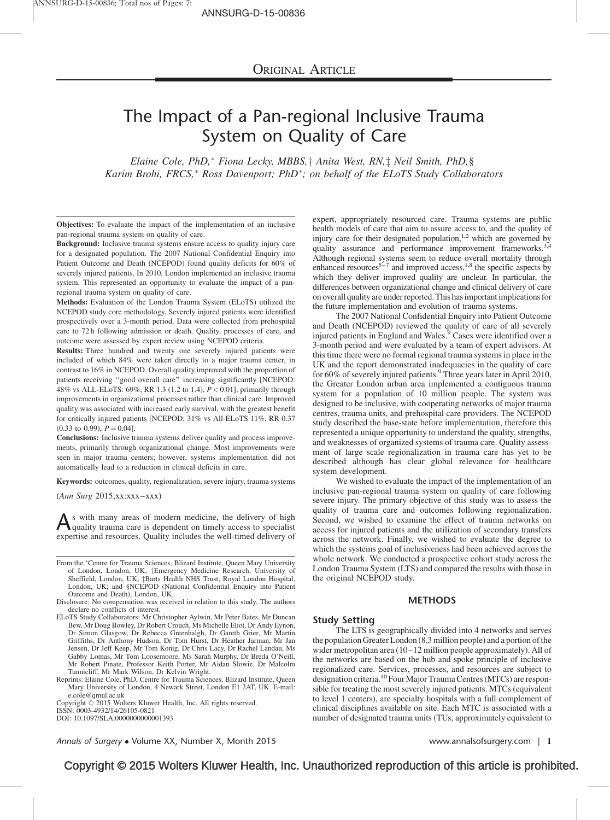# The Impact of a Pan-regional Inclusive Trauma System on Quality of Care

Elaine Cole, PhD,\* Fiona Lecky, MBBS,† Anita West, RN,‡ Neil Smith, PhD,§ Karim Brohi, FRCS,\* Ross Davenport; PhD\*; on behalf of the ELoTS Study Collaborators

Objectives: To evaluate the impact of the implementation of an inclusive pan-regional trauma system on quality of care.

Background: Inclusive trauma systems ensure access to quality injury care for a designated population. The 2007 National Confidential Enquiry into Patient Outcome and Death (NCEPOD) found quality deficits for 60% of severely injured patients. In 2010, London implemented an inclusive trauma system. This represented an opportunity to evaluate the impact of a panregional trauma system on quality of care.

Methods: Evaluation of the London Trauma System (ELoTS) utilized the NCEPOD study core methodology. Severely injured patients were identified prospectively over a 3-month period. Data were collected from prehospital care to 72 h following admission or death. Quality, processes of care, and outcome were assessed by expert review using NCEPOD criteria.

Results: Three hundred and twenty one severely injured patients were included of which 84% were taken directly to a major trauma center, in contrast to 16% in NCEPOD. Overall quality improved with the proportion of patients receiving ''good overall care'' increasing significantly [NCEPOD: 48% vs ALL-ELoTS: 69%, RR 1.3 (1.2 to 1.4), P < 0.01], primarily through improvements in organizational processes rather than clinical care. Improved quality was associated with increased early survival, with the greatest benefit for critically injured patients [NCEPOD: 31% vs All-ELoTS 11%, RR 0.37  $(0.33 \text{ to } 0.99), P = 0.04$ ].

Conclusions: Inclusive trauma systems deliver quality and process improvements, primarily through organizational change. Most improvements were seen in major trauma centers; however, systems implementation did not automatically lead to a reduction in clinical deficits in care.

Keywords: outcomes, quality, regionalization, severe injury, trauma systems

(Ann Surg 2015;xx:xxx–xxx)

 $\mathbf{A}$ s with many areas of modern medicine, the delivery of high quality trauma care is dependent on timely access to specialist expertise and resources. Quality includes the well-timed delivery of

DOI: 10.1097/SLA.0000000000001393

Annals of Surgery • Volume XX, Number X, Month 2015 Www.annalsofsurgery.com | 1

expert, appropriately resourced care. Trauma systems are public health models of care that aim to assure access to, and the quality of injury care for their designated population,<sup>1,2</sup> which are governed by quality assurance and performance improvement frameworks.<sup>3,4</sup> Although regional systems seem to reduce overall mortality through enhanced resources $5-7$  and improved access,<sup>1,8</sup> the specific aspects by which they deliver improved quality are unclear. In particular, the differences between organizational change and clinical delivery of care on overall quality are under reported. This hasimportant implications for the future implementation and evolution of trauma systems.

The 2007 National Confidential Enquiry into Patient Outcome and Death (NCEPOD) reviewed the quality of care of all severely injured patients in England and Wales.<sup>9</sup> Cases were identified over a 3-month period and were evaluated by a team of expert advisors. At this time there were no formal regional trauma systems in place in the UK and the report demonstrated inadequacies in the quality of care for 60% of severely injured patients.<sup>[9](#page-5-0)</sup> Three years later in April 2010, the Greater London urban area implemented a contiguous trauma system for a population of 10 million people. The system was designed to be inclusive, with cooperating networks of major trauma centres, trauma units, and prehospital care providers. The NCEPOD study described the base-state before implementation, therefore this represented a unique opportunity to understand the quality, strengths, and weaknesses of organized systems of trauma care. Quality assessment of large scale regionalization in trauma care has yet to be described although has clear global relevance for healthcare system development.

We wished to evaluate the impact of the implementation of an inclusive pan-regional trauma system on quality of care following severe injury. The primary objective of this study was to assess the quality of trauma care and outcomes following regionalization. Second, we wished to examine the effect of trauma networks on access for injured patients and the utilization of secondary transfers across the network. Finally, we wished to evaluate the degree to which the systems goal of inclusiveness had been achieved across the whole network. We conducted a prospective cohort study across the London Trauma System (LTS) and compared the results with those in the original NCEPOD study.

## METHODS

#### Study Setting

The LTS is geographically divided into 4 networks and serves the population Greater London (8.3 million people) and a portion of the wider metropolitan area (10–12 million people approximately). All of the networks are based on the hub and spoke principle of inclusive regionalized care. Services, processes, and resources are subject to designation criteria.[10](#page-5-0) Four Major Trauma Centres (MTCs) are responsible for treating the most severely injured patients. MTCs (equivalent to level 1 centers), are specialty hospitals with a full complement of clinical disciplines available on site. Each MTC is associated with a number of designated trauma units (TUs, approximately equivalent to

From the \*Centre for Trauma Sciences, Blizard Institute, Queen Mary University of London, London, UK; <sup>†</sup>Emergency Medicine Research, University of Sheffield, London, UK; <sup>†</sup>Barts Health NHS Trust, Royal London Hospital, London, UK; and §NCEPOD (National Confidential Enquiry into Patient Outcome and Death), London, UK.

Disclosure: No compensation was received in relation to this study. The authors declare no conflicts of interest.

ELoTS Study Collaborators: Mr Christopher Aylwin, Mr Peter Bates, Mr Duncan Bew, Mr Doug Bowley, Dr Robert Crouch, Ms Michelle Eliot, Dr Andy Eynon, Dr Simon Glasgow, Dr Rebecca Greenhalgh, Dr Gareth Grier, Mr Martin Griffiths, Dr Anthony Hudson, Dr Tom Hurst, Dr Heather Jarman, Mr Jan Jensen, Dr Jeff Keep, Mr Tom Konig, Dr Chris Lacy, Dr Rachel Landau, Ms Gabby Lomas, Mr Tom Loosemoore, Ms Sarah Murphy, Dr Breda O'Neill, Mr Robert Pinate, Professor Keith Porter, Mr Aidan Slowie, Dr Malcolm Tunnicliff, Mr Mark Wilson, Dr Kelvin Wright.

Reprints: Elaine Cole, PhD, Centre for Trauma Sciences, Blizard Institute, Queen Mary University of London, 4 Newark Street, London E1 2AT, UK. E-mail: [e.cole@qmul.ac.uk](mailto:e.cole@qmul.ac.uk)

Copyright © 2015 Wolters Kluwer Health, Inc. All rights reserved. ISSN: 0003-4932/14/26105-0821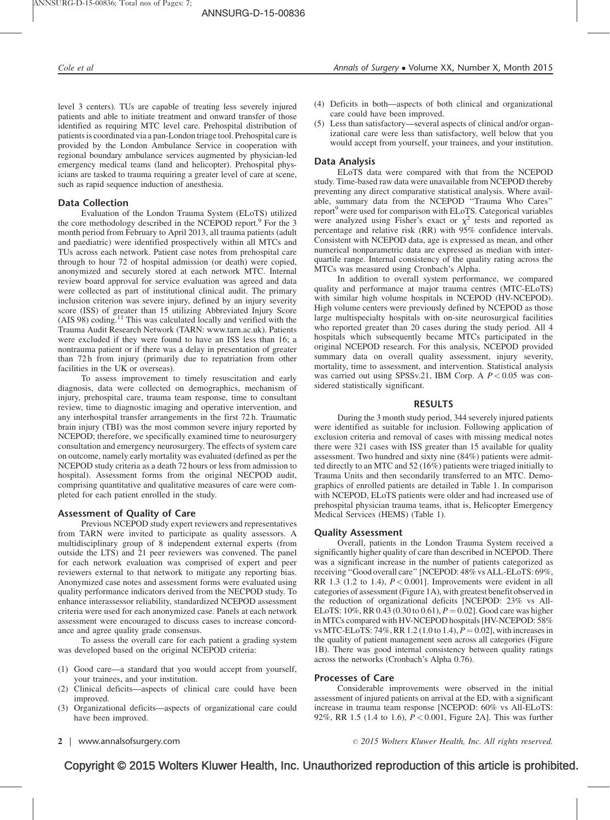level 3 centers). TUs are capable of treating less severely injured patients and able to initiate treatment and onward transfer of those identified as requiring MTC level care. Prehospital distribution of patients is coordinated via a pan-London triage tool. Prehospital care is provided by the London Ambulance Service in cooperation with regional boundary ambulance services augmented by physician-led emergency medical teams (land and helicopter). Prehospital physicians are tasked to trauma requiring a greater level of care at scene, such as rapid sequence induction of anesthesia.

#### Data Collection

Evaluation of the London Trauma System (ELoTS) utilized the core methodology described in the NCEPOD report.<sup>[9](#page-5-0)</sup> For the 3 month period from February to April 2013, all trauma patients (adult and paediatric) were identified prospectively within all MTCs and TUs across each network. Patient case notes from prehospital care through to hour 72 of hospital admission (or death) were copied, anonymized and securely stored at each network MTC. Internal review board approval for service evaluation was agreed and data were collected as part of institutional clinical audit. The primary inclusion criterion was severe injury, defined by an injury severity score (ISS) of greater than 15 utilizing Abbreviated Injury Score (AIS 98) coding.<sup>[11](#page-5-0)</sup> This was calculated locally and verified with the Trauma Audit Research Network (TARN: [www.tarn.ac.uk\)](http://www.tarn.ac.uk/). Patients were excluded if they were found to have an ISS less than 16; a nontrauma patient or if there was a delay in presentation of greater than 72 h from injury (primarily due to repatriation from other facilities in the UK or overseas).

To assess improvement to timely resuscitation and early diagnosis, data were collected on demographics, mechanism of injury, prehospital care, trauma team response, time to consultant review, time to diagnostic imaging and operative intervention, and any interhospital transfer arrangements in the first 72 h. Traumatic brain injury (TBI) was the most common severe injury reported by NCEPOD; therefore, we specifically examined time to neurosurgery consultation and emergency neurosurgery. The effects of system care on outcome, namely early mortality was evaluated (defined as per the NCEPOD study criteria as a death 72 hours or less from admission to hospital). Assessment forms from the original NECPOD audit, comprising quantitative and qualitative measures of care were completed for each patient enrolled in the study.

#### Assessment of Quality of Care

Previous NCEPOD study expert reviewers and representatives from TARN were invited to participate as quality assessors. A multidisciplinary group of 8 independent external experts (from outside the LTS) and 21 peer reviewers was convened. The panel for each network evaluation was comprised of expert and peer reviewers external to that network to mitigate any reporting bias. Anonymized case notes and assessment forms were evaluated using quality performance indicators derived from the NECPOD study. To enhance interassessor reliability, standardized NCEPOD assessment criteria were used for each anonymized case. Panels at each network assessment were encouraged to discuss cases to increase concordance and agree quality grade consensus.

To assess the overall care for each patient a grading system was developed based on the original NCEPOD criteria:

- (1) Good care—a standard that you would accept from yourself, your trainees, and your institution.
- (2) Clinical deficits—aspects of clinical care could have been improved.
- (3) Organizational deficits—aspects of organizational care could have been improved.
- (4) Deficits in both—aspects of both clinical and organizational care could have been improved.
- (5) Less than satisfactory—several aspects of clinical and/or organizational care were less than satisfactory, well below that you would accept from yourself, your trainees, and your institution.

### Data Analysis

ELoTS data were compared with that from the NCEPOD study. Time-based raw data were unavailable from NCEPOD thereby preventing any direct comparative statistical analysis. Where available, summary data from the NCEPOD ''Trauma Who Cares'' report<sup>9</sup> were used for comparison with ELoTS. Categorical variables were analyzed using Fisher's exact or  $\chi^2$  tests and reported as percentage and relative risk (RR) with 95% confidence intervals. Consistent with NCEPOD data, age is expressed as mean, and other numerical nonparametric data are expressed as median with interquartile range. Internal consistency of the quality rating across the MTCs was measured using Cronbach's Alpha.

In addition to overall system performance, we compared quality and performance at major trauma centres (MTC-ELoTS) with similar high volume hospitals in NCEPOD (HV-NCEPOD). High volume centers were previously defined by NCEPOD as those large multispecialty hospitals with on-site neurosurgical facilities who reported greater than 20 cases during the study period. All 4 hospitals which subsequently became MTCs participated in the original NCEPOD research. For this analysis, NCEPOD provided summary data on overall quality assessment, injury severity, mortality, time to assessment, and intervention. Statistical analysis was carried out using SPSSv.21, IBM Corp. A  $P < 0.05$  was considered statistically significant.

#### RESULTS

During the 3 month study period, 344 severely injured patients were identified as suitable for inclusion. Following application of exclusion criteria and removal of cases with missing medical notes there were 321 cases with ISS greater than 15 available for quality assessment. Two hundred and sixty nine (84%) patients were admitted directly to an MTC and 52 (16%) patients were triaged initially to Trauma Units and then secondarily transferred to an MTC. Demographics of enrolled patients are detailed in Table 1. In comparison with NCEPOD, ELoTS patients were older and had increased use of prehospital physician trauma teams, ithat is, Helicopter Emergency Medical Services (HEMS) (Table 1).

#### Quality Assessment

Overall, patients in the London Trauma System received a significantly higher quality of care than described in NCEPOD. There was a significant increase in the number of patients categorized as receiving ''Good overall care'' [NCEPOD: 48% vs ALL-ELoTS: 69%, RR 1.3 (1.2 to 1.4),  $P < 0.001$ ]. Improvements were evident in all categories of assessment (Figure 1A), with greatest benefit observed in the reduction of organizational deficits [NCEPOD: 23% vs All-ELoTS: 10%, RR 0.43 (0.30 to 0.61),  $P = 0.02$ . Good care was higher in MTCs compared with HV-NCEPOD hospitals [HV-NCEPOD: 58% vs MTC-ELoTS: 74%, RR 1.2 (1.0 to 1.4),  $P = 0.02$ ], with increases in the quality of patient management seen across all categories (Figure 1B). There was good internal consistency between quality ratings across the networks (Cronbach's Alpha 0.76).

#### Processes of Care

Considerable improvements were observed in the initial assessment of injured patients on arrival at the ED, with a significant increase in trauma team response [NCEPOD: 60% vs All-ELoTS: 92%, RR 1.5 (1.4 to 1.6), P < 0.001, Figure 2A]. This was further

2 | www.annalsofsurgery.com -

2015 Wolters Kluwer Health, Inc. All rights reserved.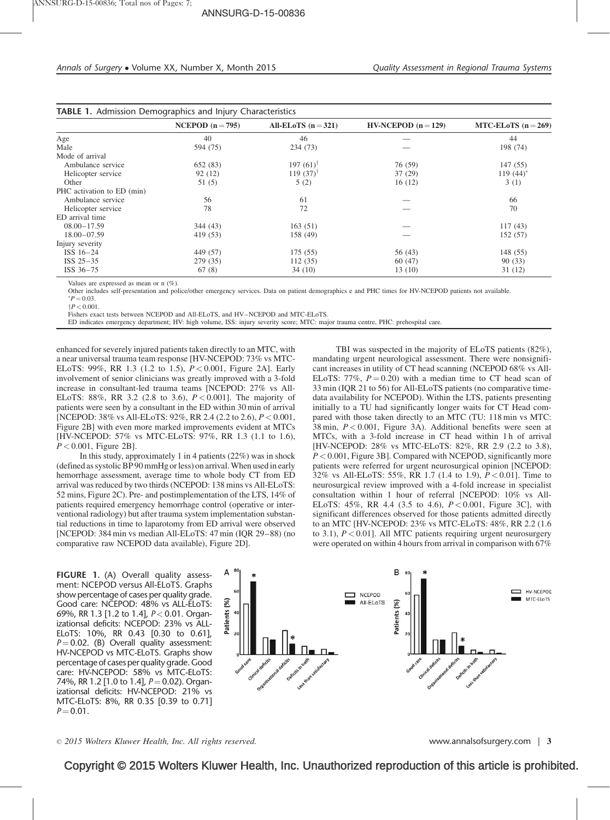|                            | NCEPOD $(n = 795)$ | All-ELoTS $(n=321)$    | $HV-NCEPOD (n=129)$ | MTC-ELoTS $(n=269)$ |
|----------------------------|--------------------|------------------------|---------------------|---------------------|
| Age                        | 40                 | 46                     |                     | 44                  |
| Male                       | 594 (75)           | 234(73)                |                     | 198 (74)            |
| Mode of arrival            |                    |                        |                     |                     |
| Ambulance service          | 652 (83)           | $197(61)$ <sup>†</sup> | 76 (59)             | 147(55)             |
| Helicopter service         | 92 (12)            | $119(37)^{\dagger}$    | 37(29)              | $119(44)^*$         |
| Other                      | 51(5)              | 5(2)                   | 16(12)              | 3(1)                |
| PHC activation to ED (min) |                    |                        |                     |                     |
| Ambulance service          | 56                 | 61                     |                     | 66                  |
| Helicopter service         | 78                 | 72                     |                     | 70                  |
| ED arrival time            |                    |                        |                     |                     |
| $08.00 - 17.59$            | 344(43)            | 163(51)                |                     | 117(43)             |
| $18.00 - 07.59$            | 419(53)            | 158 (49)               |                     | 152 (57)            |
| Injury severity            |                    |                        |                     |                     |
| ISS $16-24$                | 449 (57)           | 175(55)                | 56 (43)             | 148 (55)            |
| ISS $25-35$                | 279 (35)           | 112(35)                | 60(47)              | 90(33)              |
| ISS 36-75                  | 67(8)              | 34(10)                 | 13(10)              | 31(12)              |

TABLE 1. Admission Demographics and Injury Characteristics

Values are expressed as mean or  $n$  (%).

Other includes self-presentation and police/other emergency services. Data on patient demographics e and PHC times for HV-NCEPOD patients not available. - $*P = 0.03$ .

 ${\dagger}P < 0.001$ .

Fishers exact tests between NCEPOD and All-ELoTS, and HV–NCEPOD and MTC-ELoTS.

ED indicates emergency department; HV: high volume, ISS: injury severity score; MTC: major trauma centre, PHC: prehospital care.

enhanced for severely injured patients taken directly to an MTC, with a near universal trauma team response [HV-NCEPOD: 73% vs MTC-ELoTS: 99%, RR 1.3 (1.2 to 1.5), P < 0.001, Figure 2A]. Early involvement of senior clinicians was greatly improved with a 3-fold increase in consultant-led trauma teams [NCEPOD: 27% vs All-ELOTS: 88%, RR 3.2 (2.8 to 3.6),  $P < 0.001$ ]. The majority of patients were seen by a consultant in the ED within 30 min of arrival [NCEPOD: 38% vs All-ELoTS: 92%, RR 2.4 (2.2 to 2.6), P < 0.001, Figure 2B] with even more marked improvements evident at MTCs [HV-NCEPOD: 57% vs MTC-ELoTS: 97%, RR 1.3 (1.1 to 1.6),  $P < 0.001$ , Figure 2B].

In this study, approximately 1 in 4 patients (22%) was in shock (defined as systolic BP 90 mmHg or less) on arrival.When used in early hemorrhage assessment, average time to whole body CT from ED arrival was reduced by two thirds (NCEPOD: 138 mins vs All-ELoTS: 52 mins, Figure 2C). Pre- and postimplementation of the LTS, 14% of patients required emergency hemorrhage control (operative or interventional radiology) but after trauma system implementation substantial reductions in time to laparotomy from ED arrival were observed [NCEPOD: 384 min vs median All-ELoTS: 47 min (IQR 29–88) (no comparative raw NCEPOD data available), Figure 2D].

TBI was suspected in the majority of ELoTS patients (82%), mandating urgent neurological assessment. There were nonsignificant increases in utility of CT head scanning (NCEPOD 68% vs All-ELoTS: 77%,  $P = 0.20$ ) with a median time to CT head scan of 33 min (IQR 21 to 56) for All-ELoTS patients (no comparative timedata availability for NCEPOD). Within the LTS, patients presenting initially to a TU had significantly longer waits for CT Head compared with those taken directly to an MTC (TU: 118 min vs MTC:  $38 \text{ min}$ ,  $P < 0.001$ , Figure 3A). Additional benefits were seen at MTCs, with a 3-fold increase in CT head within 1 h of arrival [HV-NCEPOD: 28% vs MTC-ELoTS: 82%, RR 2.9 (2.2 to 3.8),  $P < 0.001$ , Figure 3B. Compared with NCEPOD, significantly more patients were referred for urgent neurosurgical opinion [NCEPOD: 32% vs All-ELoTS: 55%, RR 1.7 (1.4 to 1.9),  $P < 0.01$ ]. Time to neurosurgical review improved with a 4-fold increase in specialist consultation within 1 hour of referral [NCEPOD: 10% vs All-ELOTS: 45%, RR 4.4 (3.5 to 4.6),  $P < 0.001$ , Figure 3C], with significant differences observed for those patients admitted directly to an MTC [HV-NCEPOD: 23% vs MTC-ELoTS: 48%, RR 2.2 (1.6 to 3.1),  $P < 0.01$ ]. All MTC patients requiring urgent neurosurgery were operated on within 4 hours from arrival in comparison with 67%

FIGURE 1. (A) Overall quality assessment: NCEPOD versus All-ELoTS. Graphs show percentage of cases per quality grade. Good care: NCEPOD: 48% vs ALL-ELoTS: 69%, RR 1.3 [1.2 to 1.4], P< 0.01. Organizationsal deficits: NCEPOD: 23% vs ALL-ELoTS: 10%, RR 0.43 [0.30 to 0.61],  $P = 0.02$ . (B) Overall quality assessment: HV-NCEPOD vs MTC-ELoTS. Graphs show percentage of cases per quality grade. Good care: HV-NCEPOD: 58% vs MTC-ELoTS: 74%, RR 1.2 [1.0 to 1.4],  $P = 0.02$ ). Organizationsal deficits: HV-NCEPOD: 21% vs MTC-ELoTS: 8%, RR 0.35 [0.39 to 0.71]  $P = 0.01$ .



 $\degree$  2015 Wolters Kluwer Health, Inc. All rights reserved.  $\degree$  and  $\degree$  and  $\degree$  and  $\degree$  and  $\degree$  3 and  $\degree$  3 and  $\degree$  3 and  $\degree$  3 and  $\degree$  3 and  $\degree$  3 and  $\degree$  3 and  $\degree$  3 and  $\degree$  3 and  $\degree$  3 and  $\degree$  3 and  $\degree$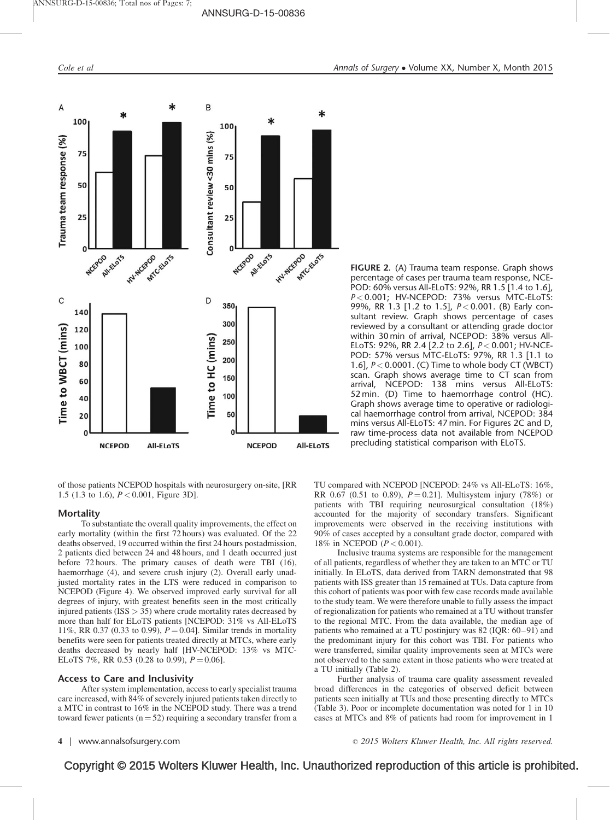

of those patients NCEPOD hospitals with neurosurgery on-site, [RR 1.5 (1.3 to 1.6), P < 0.001, Figure 3D].

#### **Mortality**

To substantiate the overall quality improvements, the effect on early mortality (within the first 72 hours) was evaluated. Of the 22 deaths observed, 19 occurred within the first 24 hours postadmission, 2 patients died between 24 and 48 hours, and 1 death occurred just before 72 hours. The primary causes of death were TBI (16), haemorrhage (4), and severe crush injury (2). Overall early unadjusted mortality rates in the LTS were reduced in comparison to NCEPOD (Figure 4). We observed improved early survival for all degrees of injury, with greatest benefits seen in the most critically injured patients ( $ISS > 35$ ) where crude mortality rates decreased by more than half for ELoTS patients [NCEPOD: 31% vs All-ELoTS 11%, RR 0.37 (0.33 to 0.99),  $P = 0.04$ . Similar trends in mortality benefits were seen for patients treated directly at MTCs, where early deaths decreased by nearly half [HV-NCEPOD: 13% vs MTC-ELoTS 7%, RR 0.53 (0.28 to 0.99),  $P = 0.06$ .

#### Access to Care and Inclusivity

After system implementation, access to early specialist trauma care increased, with 84% of severely injured patients taken directly to a MTC in contrast to 16% in the NCEPOD study. There was a trend toward fewer patients ( $n = 52$ ) requiring a secondary transfer from a FIGURE 2. (A) Trauma team response. Graph shows percentage of cases per trauma team response, NCE-POD: 60% versus All-ELoTS: 92%, RR 1.5 [1.4 to 1.6], P < 0.001; HV-NCEPOD: 73% versus MTC-ELoTS: 99%, RR 1.3 [1.2 to 1.5],  $P < 0.001$ . (B) Early consultant review. Graph shows percentage of cases reviewed by a consultant or attending grade doctor within 30 min of arrival, NCEPOD: 38% versus All-ELoTS: 92%, RR 2.4 [2.2 to 2.6],  $P < 0.001$ ; HV-NCE-POD: 57% versus MTC-ELoTS: 97%, RR 1.3 [1.1 to 1.6],  $P < 0.0001$ . (C) Time to whole body CT (WBCT) scan. Graph shows average time to CT scan from arrival, NCEPOD: 138 mins versus All-ELoTS: 52 min. (D) Time to haemorrhage control (HC). Graph shows average time to operative or radiological haemorrhage control from arrival, NCEPOD: 384 mins versus All-ELoTS: 47 min. For Figures 2C and D, raw time-process data not available from NCEPOD precluding statistical comparison with ELoTS.

TU compared with NCEPOD [NCEPOD: 24% vs All-ELoTS: 16%, RR 0.67 (0.51 to 0.89),  $P = 0.21$ ]. Multisystem injury (78%) or patients with TBI requiring neurosurgical consultation (18%) accounted for the majority of secondary transfers. Significant improvements were observed in the receiving institutions with 90% of cases accepted by a consultant grade doctor, compared with 18% in NCEPOD (P < 0.001).

Inclusive trauma systems are responsible for the management of all patients, regardless of whether they are taken to an MTC or TU initially. In ELoTS, data derived from TARN demonstrated that 98 patients with ISS greater than 15 remained at TUs. Data capture from this cohort of patients was poor with few case records made available to the study team. We were therefore unable to fully assess the impact of regionalization for patients who remained at a TU without transfer to the regional MTC. From the data available, the median age of patients who remained at a TU postinjury was 82 (IQR: 60–91) and the predominant injury for this cohort was TBI. For patients who were transferred, similar quality improvements seen at MTCs were not observed to the same extent in those patients who were treated at a TU initially (Table 2).

Further analysis of trauma care quality assessment revealed broad differences in the categories of observed deficit between patients seen initially at TUs and those presenting directly to MTCs (Table 3). Poor or incomplete documentation was noted for 1 in 10 cases at MTCs and 8% of patients had room for improvement in 1

| www.annalsofsurgery.com

2015 Wolters Kluwer Health, Inc. All rights reserved.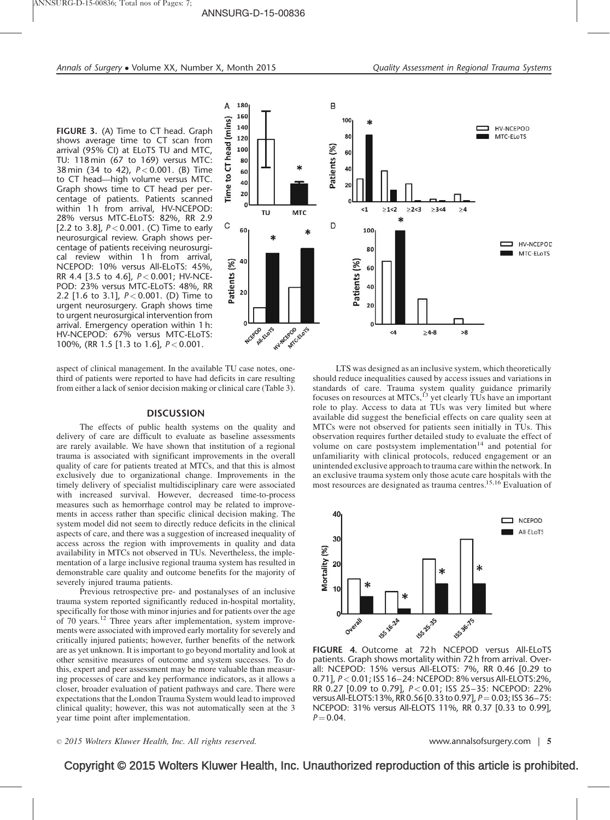FIGURE 3. (A) Time to CT head. Graph shows average time to CT scan from arrival (95% CI) at ELoTS TU and MTC, TU: 118 min (67 to 169) versus MTC: 38 min (34 to 42),  $P < 0.001$ . (B) Time to CT head—high volume versus MTC. Graph shows time to CT head per percentage of patients. Patients scanned within 1 h from arrival, HV-NCEPOD: 28% versus MTC-ELoTS: 82%, RR 2.9 [2.2 to 3.8],  $P < 0.001$ . (C) Time to early neurosurgical review. Graph shows percentage of patients receiving neurosurgical review within 1h from arrival, NCEPOD: 10% versus All-ELoTS: 45%, RR 4.4 [3.5 to 4.6],  $P < 0.001$ ; HV-NCE-POD: 23% versus MTC-ELoTS: 48%, RR 2.2  $[1.6 \text{ to } 3.1]$ ,  $P < 0.001$ . (D) Time to urgent neurosurgery. Graph shows time to urgent neurosurgical intervention from arrival. Emergency operation within 1 h: HV-NCEPOD: 67% versus MTC-ELoTS: 100%, (RR 1.5 [1.3 to 1.6],  $P < 0.001$ .



aspect of clinical management. In the available TU case notes, onethird of patients were reported to have had deficits in care resulting from either a lack of senior decision making or clinical care (Table 3).

### **DISCUSSION**

The effects of public health systems on the quality and delivery of care are difficult to evaluate as baseline assessments are rarely available. We have shown that institution of a regional trauma is associated with significant improvements in the overall quality of care for patients treated at MTCs, and that this is almost exclusively due to organizational change. Improvements in the timely delivery of specialist multidisciplinary care were associated with increased survival. However, decreased time-to-process measures such as hemorrhage control may be related to improvements in access rather than specific clinical decision making. The system model did not seem to directly reduce deficits in the clinical aspects of care, and there was a suggestion of increased inequality of access across the region with improvements in quality and data availability in MTCs not observed in TUs. Nevertheless, the implementation of a large inclusive regional trauma system has resulted in demonstrable care quality and outcome benefits for the majority of severely injured trauma patients.

Previous retrospective pre- and postanalyses of an inclusive trauma system reported significantly reduced in-hospital mortality, specifically for those with minor injuries and for patients over the age of 70 years.[12](#page-5-0) Three years after implementation, system improvements were associated with improved early mortality for severely and critically injured patients; however, further benefits of the network are as yet unknown. It is important to go beyond mortality and look at other sensitive measures of outcome and system successes. To do this, expert and peer assessment may be more valuable than measuring processes of care and key performance indicators, as it allows a closer, broader evaluation of patient pathways and care. There were expectations that the London Trauma System would lead to improved clinical quality; however, this was not automatically seen at the 3 year time point after implementation.

LTS was designed as an inclusive system, which theoretically should reduce inequalities caused by access issues and variations in standards of care. Trauma system quality guidance primarily focuses on resources at MTCs,<sup>[13](#page-6-0)</sup> yet clearly TUs have an important role to play. Access to data at TUs was very limited but where available did suggest the beneficial effects on care quality seen at MTCs were not observed for patients seen initially in TUs. This observation requires further detailed study to evaluate the effect of volume on care postsystem implementation<sup>[14](#page-6-0)</sup> and potential for unfamiliarity with clinical protocols, reduced engagement or an unintended exclusive approach to trauma care within the network. In an exclusive trauma system only those acute care hospitals with the most resources are designated as trauma centres[.15,16](#page-6-0) Evaluation of



FIGURE 4. Outcome at 72h NCEPOD versus All-ELoTS patients. Graph shows mortality within 72 h from arrival. Overall: NCEPOD: 15% versus All-ELOTS: 7%, RR 0.46 [0.29 to 0.71], P < 0.01; ISS 16–24: NCEPOD: 8% versus All-ELOTS:2%, RR 0.27 [0.09 to 0.79], P < 0.01; ISS 25–35: NCEPOD: 22% versus All-ELOTS:13%, RR 0.56 [0.33 to 0.97],  $P = 0.03$ ; ISS 36-75: NCEPOD: 31% versus All-ELOTS 11%, RR 0.37 [0.33 to 0.99],  $P = 0.04$ .

© 2015 Wolters Kluwer Health, Inc. All rights reserved. www.annalsofsurgery.com | 5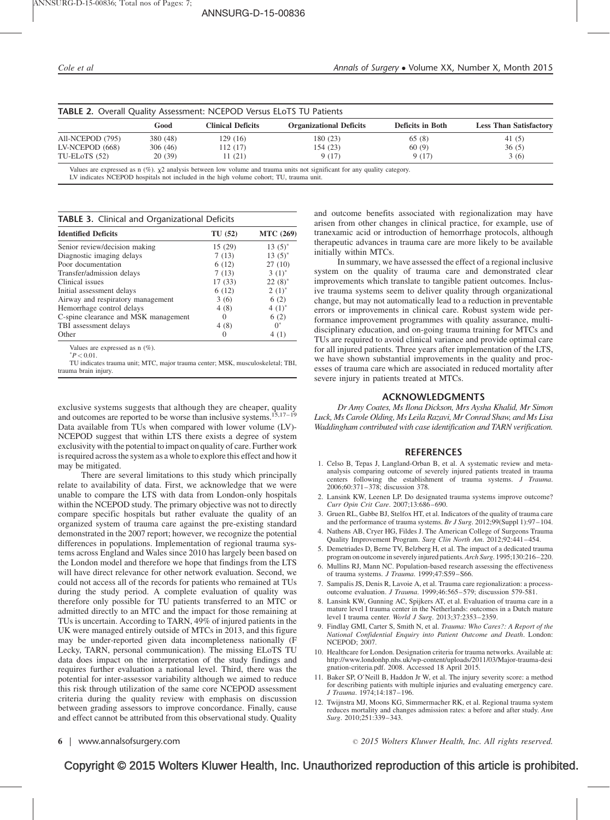<span id="page-5-0"></span>

|                  | Good     | <b>Clinical Deficits</b> | <b>Organizational Deficits</b> | <b>Deficits in Both</b> | <b>Less Than Satisfactory</b> |
|------------------|----------|--------------------------|--------------------------------|-------------------------|-------------------------------|
| All-NCEPOD (795) | 380 (48) | 129 (16)                 | 180 (23)                       | 65(8)                   | 41 $(5)$                      |
| $LV-NCEPOD(668)$ | 306(46)  | 112(17)                  | 154 (23)                       | 60(9)                   | 36(5)                         |
| TU-ELOTS $(52)$  | 20(39)   | 11(21)                   | 9(17)                          | 9(17)                   | 3(6)                          |

Values are expressed as n  $(\%)$ .  $\chi$ 2 analysis between low volume and trauma units not significant for any quality category. LV indicates NCEPOD hospitals not included in the high volume cohort; TU, trauma unit.

| <b>Identified Deficits</b>           | TU (52)  | <b>MTC</b> (269) |
|--------------------------------------|----------|------------------|
| Senior review/decision making        | 15(29)   | $13(5)^*$        |
| Diagnostic imaging delays            | 7(13)    | $13(5)^*$        |
| Poor documentation                   | 6(12)    | 27(10)           |
| Transfer/admission delays            | 7(13)    | $3(1)^{*}$       |
| Clinical issues                      | 17(33)   | $22(8)^*$        |
| Initial assessment delays            | 6(12)    | $2(1)^{*}$       |
| Airway and respiratory management    | 3(6)     | 6(2)             |
| Hemorrhage control delays            | 4(8)     | $4(1)^*$         |
| C-spine clearance and MSK management | $\Omega$ | 6(2)             |
| TBI assessment delays                | 4(8)     | $0^*$            |
| Other                                | $\theta$ | 4(1)             |

 $*P < 0.01$ .

TU indicates trauma unit; MTC, major trauma center; MSK, musculoskeletal; TBI, trauma brain injury.

exclusive systems suggests that although they are cheaper, quality and outcomes are reported to be worse than inclusive systems.[15,17–19](#page-6-0) Data available from TUs when compared with lower volume (LV)- NCEPOD suggest that within LTS there exists a degree of system exclusivity with the potential to impact on quality of care. Further work is required across the system as a whole to explore this effect and how it may be mitigated.

There are several limitations to this study which principally relate to availability of data. First, we acknowledge that we were unable to compare the LTS with data from London-only hospitals within the NCEPOD study. The primary objective was not to directly compare specific hospitals but rather evaluate the quality of an organized system of trauma care against the pre-existing standard demonstrated in the 2007 report; however, we recognize the potential differences in populations. Implementation of regional trauma systems across England and Wales since 2010 has largely been based on the London model and therefore we hope that findings from the LTS will have direct relevance for other network evaluation. Second, we could not access all of the records for patients who remained at TUs during the study period. A complete evaluation of quality was therefore only possible for TU patients transferred to an MTC or admitted directly to an MTC and the impact for those remaining at TUs is uncertain. According to TARN, 49% of injured patients in the UK were managed entirely outside of MTCs in 2013, and this figure may be under-reported given data incompleteness nationally (F Lecky, TARN, personal communication). The missing ELoTS TU data does impact on the interpretation of the study findings and requires further evaluation a national level. Third, there was the potential for inter-assessor variability although we aimed to reduce this risk through utilization of the same core NCEPOD assessment criteria during the quality review with emphasis on discussion between grading assessors to improve concordance. Finally, cause and effect cannot be attributed from this observational study. Quality

and outcome benefits associated with regionalization may have arisen from other changes in clinical practice, for example, use of tranexamic acid or introduction of hemorrhage protocols, although therapeutic advances in trauma care are more likely to be available initially within MTCs.

In summary, we have assessed the effect of a regional inclusive system on the quality of trauma care and demonstrated clear improvements which translate to tangible patient outcomes. Inclusive trauma systems seem to deliver quality through organizational change, but may not automatically lead to a reduction in preventable errors or improvements in clinical care. Robust system wide performance improvement programmes with quality assurance, multidisciplinary education, and on-going trauma training for MTCs and TUs are required to avoid clinical variance and provide optimal care for all injured patients. Three years after implementation of the LTS, we have shown substantial improvements in the quality and processes of trauma care which are associated in reduced mortality after severe injury in patients treated at MTCs.

#### ACKNOWLEDGMENTS

Dr Amy Coates, Ms Ilona Dickson, Mrs Aysha Khalid, Mr Simon Luck, Ms Carole Olding, Ms Leila Razavi, Mr Conrad Shaw, and Ms Lisa Waddingham contributed with case identification and TARN verification.

### **REFERENCES**

- 1. Celso B, Tepas J, Langland-Orban B, et al. A systematic review and metaanalysis comparing outcome of severely injured patients treated in trauma centers following the establishment of trauma systems. J Trauma. 2006;60:371–378; discussion 378.
- 2. Lansink KW, Leenen LP. Do designated trauma systems improve outcome? Curr Opin Crit Care. 2007;13:686–690.
- 3. Gruen RL, Gabbe BJ, Stelfox HT, et al. Indicators of the quality of trauma care and the performance of trauma systems. Br J Surg. 2012;99(Suppl 1):97–104.
- 4. Nathens AB, Cryer HG, Fildes J. The American College of Surgeons Trauma Quality Improvement Program. Surg Clin North Am. 2012;92:441–454.
- 5. Demetriades D, Berne TV, Belzberg H, et al. The impact of a dedicated trauma program on outcome in severely injured patients.Arch Surg. 1995;130:216–220.
- 6. Mullins RJ, Mann NC. Population-based research assessing the effectiveness of trauma systems. J Trauma. 1999;47:S59–S66.
- 7. Sampalis JS, Denis R, Lavoie A, et al. Trauma care regionalization: a processoutcome evaluation. J Trauma. 1999;46:565–579; discussion 579-581.
- 8. Lansink KW, Gunning AC, Spijkers AT, et al. Evaluation of trauma care in a mature level I trauma center in the Netherlands: outcomes in a Dutch mature level I trauma center. World J Surg. 2013;37:2353-2359.
- 9. Findlay GMI, Carter S, Smith N, et al. Trauma: Who Cares?: A Report of the National Confidential Enquiry into Patient Outcome and Death. London: NCEPOD; 2007.
- 10. Healthcare for London. Designation criteria for trauma networks. Available at: [http://www.londonhp.nhs.uk/wp-content/uploads/2011/03/Major-trauma-desi](http://www.londonhp.nhs.uk/wp-content/uploads/2011/03/Major-trauma-designation-criteria.pdf) [gnation-criteria.pdf. 2008. Accessed 18 April 2015.](http://www.londonhp.nhs.uk/wp-content/uploads/2011/03/Major-trauma-designation-criteria.pdf)
- 11. Baker SP, O'Neill B, Haddon Jr W, et al. The injury severity score: a method for describing patients with multiple injuries and evaluating emergency care. J Trauma. 1974;14:187–196.
- 12. Twijnstra MJ, Moons KG, Simmermacher RK, et al. Regional trauma system reduces mortality and changes admission rates: a before and after study. Ann Surg. 2010;251:339–343.

 $6$  | www.annalsofsurgery.com

2015 Wolters Kluwer Health, Inc. All rights reserved.